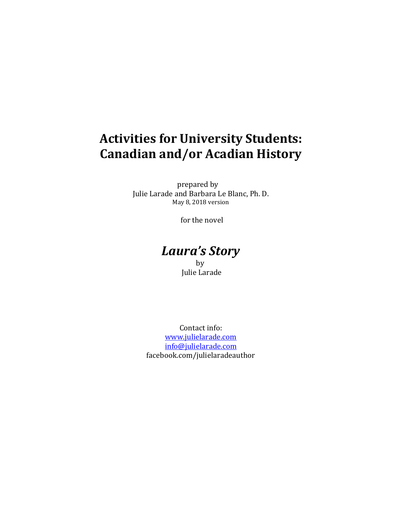# **Activities for University Students: Canadian and/or Acadian History**

prepared by Julie Larade and Barbara Le Blanc, Ph. D. May 8, 2018 version

for the novel

### *Laura's Story* **by**

Julie Larade

Contact info: [www.julielarade.com](http://www.julielarade.com/) [info@julielarade.com](mailto:info@julielarade.com) facebook.com/julielaradeauthor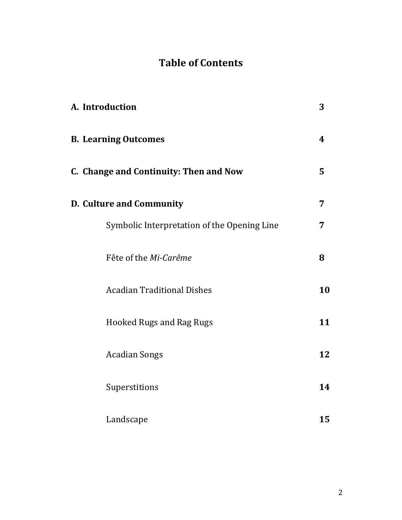# **Table of Contents**

| A. Introduction                             | 3  |
|---------------------------------------------|----|
| <b>B. Learning Outcomes</b>                 | 4  |
| C. Change and Continuity: Then and Now      | 5  |
| D. Culture and Community                    | 7  |
| Symbolic Interpretation of the Opening Line | 7  |
| Fête of the Mi-Carême                       | 8  |
| <b>Acadian Traditional Dishes</b>           | 10 |
| <b>Hooked Rugs and Rag Rugs</b>             | 11 |
| <b>Acadian Songs</b>                        | 12 |
| Superstitions                               | 14 |
| Landscape                                   | 15 |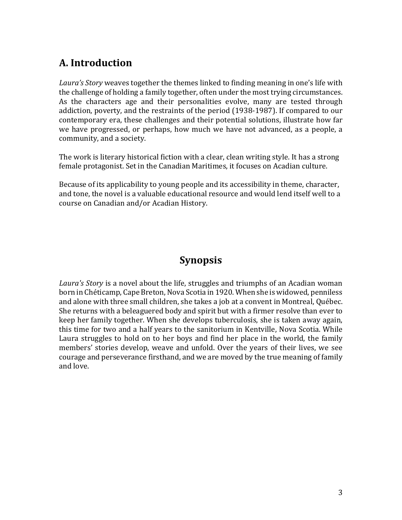# **A. Introduction**

*Laura's Story* weaves together the themes linked to finding meaning in one's life with the challenge of holding a family together, often under the most trying circumstances. As the characters age and their personalities evolve, many are tested through addiction, poverty, and the restraints of the period (1938-1987). If compared to our contemporary era, these challenges and their potential solutions, illustrate how far we have progressed, or perhaps, how much we have not advanced, as a people, a community, and a society.

The work is literary historical fiction with a clear, clean writing style. It has a strong female protagonist. Set in the Canadian Maritimes, it focuses on Acadian culture.

Because of its applicability to young people and its accessibility in theme, character, and tone, the novel is a valuable educational resource and would lend itself well to a course on Canadian and/or Acadian History.

# **Synopsis**

*Laura's Story* is a novel about the life, struggles and triumphs of an Acadian woman born in Chéticamp, Cape Breton, Nova Scotia in 1920. When she is widowed, penniless and alone with three small children, she takes a job at a convent in Montreal, Québec. She returns with a beleaguered body and spirit but with a firmer resolve than ever to keep her family together. When she develops tuberculosis, she is taken away again, this time for two and a half years to the sanitorium in Kentville, Nova Scotia. While Laura struggles to hold on to her boys and find her place in the world, the family members' stories develop, weave and unfold. Over the years of their lives, we see courage and perseverance firsthand, and we are moved by the true meaning of family and love.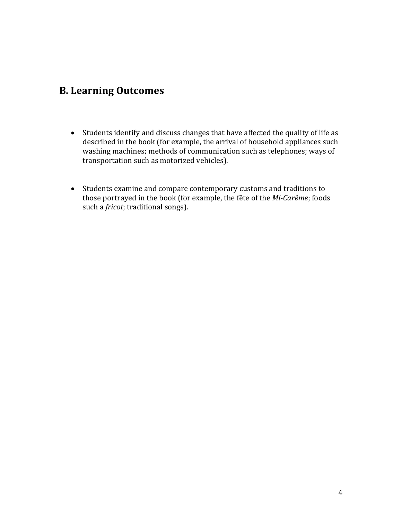### **B. Learning Outcomes**

- Students identify and discuss changes that have affected the quality of life as described in the book (for example, the arrival of household appliances such washing machines; methods of communication such as telephones; ways of transportation such as motorized vehicles).
- Students examine and compare contemporary customs and traditions to those portrayed in the book (for example, the fête of the *Mi-Carême*; foods such a *fricot*; traditional songs).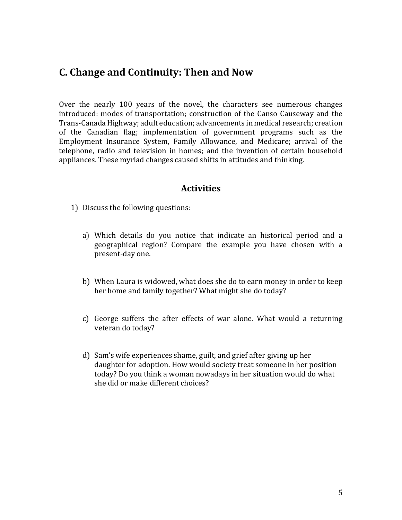### **C. Change and Continuity: Then and Now**

Over the nearly 100 years of the novel, the characters see numerous changes introduced: modes of transportation; construction of the Canso Causeway and the Trans-Canada Highway; adult education; advancements in medical research; creation of the Canadian flag; implementation of government programs such as the Employment Insurance System, Family Allowance, and Medicare; arrival of the telephone, radio and television in homes; and the invention of certain household appliances. These myriad changes caused shifts in attitudes and thinking.

- 1) Discuss the following questions:
	- a) Which details do you notice that indicate an historical period and a geographical region? Compare the example you have chosen with a present-day one.
	- b) When Laura is widowed, what does she do to earn money in order to keep her home and family together? What might she do today?
	- c) George suffers the after effects of war alone. What would a returning veteran do today?
	- d) Sam's wife experiences shame, guilt, and grief after giving up her daughter for adoption. How would society treat someone in her position today? Do you think a woman nowadays in her situation would do what she did or make different choices?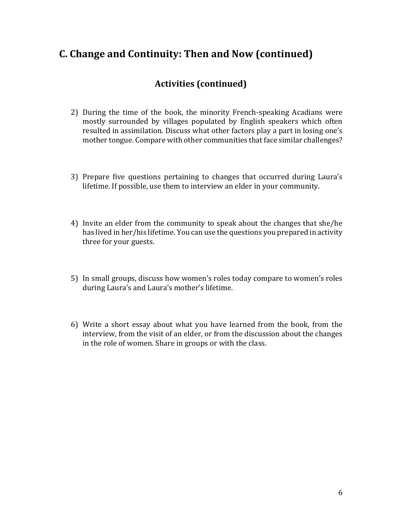### **C. Change and Continuity: Then and Now (continued)**

### **Activities (continued)**

- 2) During the time of the book, the minority French-speaking Acadians were mostly surrounded by villages populated by English speakers which often resulted in assimilation. Discuss what other factors play a part in losing one's mother tongue. Compare with other communities that face similar challenges?
- 3) Prepare five questions pertaining to changes that occurred during Laura's lifetime. If possible, use them to interview an elder in your community.
- 4) Invite an elder from the community to speak about the changes that she/he has lived in her/his lifetime. You can use the questions you prepared in activity three for your guests.
- 5) In small groups, discuss how women's roles today compare to women's roles during Laura's and Laura's mother's lifetime.
- 6) Write a short essay about what you have learned from the book, from the interview, from the visit of an elder, or from the discussion about the changes in the role of women. Share in groups or with the class.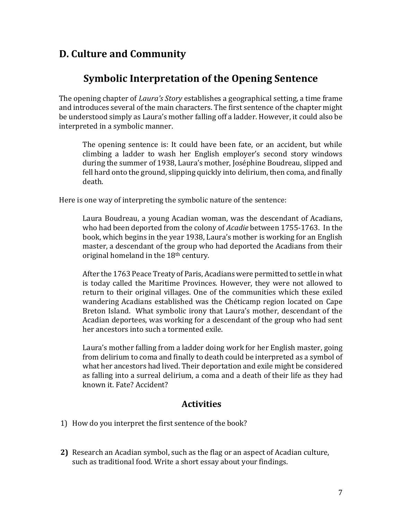### **D. Culture and Community**

### **Symbolic Interpretation of the Opening Sentence**

The opening chapter of *Laura's Story* establishes a geographical setting, a time frame and introduces several of the main characters. The first sentence of the chapter might be understood simply as Laura's mother falling off a ladder. However, it could also be interpreted in a symbolic manner.

The opening sentence is: It could have been fate, or an accident, but while climbing a ladder to wash her English employer's second story windows during the summer of 1938, Laura's mother, Joséphine Boudreau, slipped and fell hard onto the ground, slipping quickly into delirium, then coma, and finally death.

Here is one way of interpreting the symbolic nature of the sentence:

Laura Boudreau, a young Acadian woman, was the descendant of Acadians, who had been deported from the colony of *Acadie* between 1755-1763. In the book, which begins in the year 1938, Laura's mother is working for an English master, a descendant of the group who had deported the Acadians from their original homeland in the 18th century.

After the 1763 Peace Treaty of Paris, Acadians were permitted to settle in what is today called the Maritime Provinces. However, they were not allowed to return to their original villages. One of the communities which these exiled wandering Acadians established was the Chéticamp region located on Cape Breton Island. What symbolic irony that Laura's mother, descendant of the Acadian deportees, was working for a descendant of the group who had sent her ancestors into such a tormented exile.

Laura's mother falling from a ladder doing work for her English master, going from delirium to coma and finally to death could be interpreted as a symbol of what her ancestors had lived. Their deportation and exile might be considered as falling into a surreal delirium, a coma and a death of their life as they had known it. Fate? Accident?

- 1) How do you interpret the first sentence of the book?
- **2)** Research an Acadian symbol, such as the flag or an aspect of Acadian culture, such as traditional food. Write a short essay about your findings.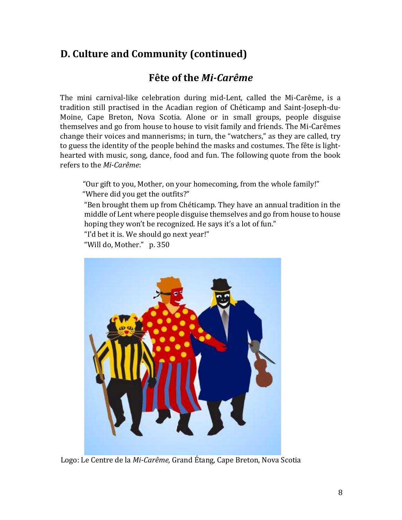### **Fête of the** *Mi-Carême*

The mini carnival-like celebration during mid-Lent, called the Mi-Carême, is a tradition still practised in the Acadian region of Chéticamp and Saint-Joseph-du-Moine, Cape Breton, Nova Scotia. Alone or in small groups, people disguise themselves and go from house to house to visit family and friends. The Mi-Carêmes change their voices and mannerisms; in turn, the "watchers," as they are called, try to guess the identity of the people behind the masks and costumes. The fête is lighthearted with music, song, dance, food and fun. The following quote from the book refers to the *Mi-Carême*:

"Our gift to you, Mother, on your homecoming, from the whole family!" "Where did you get the outfits?"

"Ben brought them up from Chéticamp. They have an annual tradition in the middle of Lent where people disguise themselves and go from house to house hoping they won't be recognized. He says it's a lot of fun."

"I'd bet it is. We should go next year!"

"Will do, Mother." p. 350



Logo: Le Centre de la *Mi-Carême,* Grand Étang, Cape Breton, Nova Scotia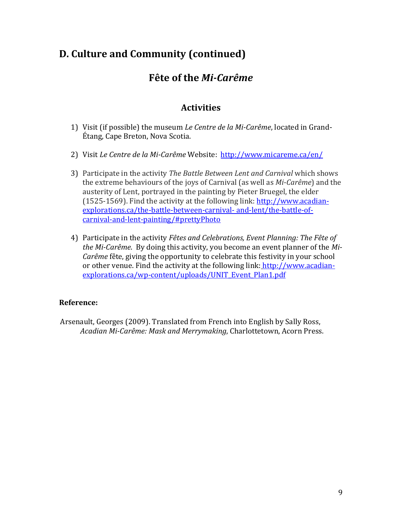### **Fête of the** *Mi-Carême*

### **Activities**

- 1) Visit (if possible) the museum *Le Centre de la Mi-Carême*, located in Grand-Étang, Cape Breton, Nova Scotia.
- 2) Visit *Le Centre de la Mi-Carême* Website: <http://www.micareme.ca/en/>
- 3) Participate in the activity *The Battle Between Lent and Carnival* which shows the extreme behaviours of the joys of Carnival (as well as *Mi-Carême*) and the austerity of Lent, portrayed in the painting by Pieter Bruegel, the elder (1525-1569). Find the activity at the following link: [http://www.acadian](http://www.acadian-explorations.ca/the-battle-between-carnival-%20and-lent/the-battle-of-carnival-and-lent-painting/#prettyPhoto)[explorations.ca/the-battle-between-carnival-](http://www.acadian-explorations.ca/the-battle-between-carnival-%20and-lent/the-battle-of-carnival-and-lent-painting/#prettyPhoto) and-lent/the-battle-of[carnival-and-lent-painting/#prettyPhoto](http://www.acadian-explorations.ca/the-battle-between-carnival-%20and-lent/the-battle-of-carnival-and-lent-painting/#prettyPhoto)
- 4) Participate in the activity *Fêtes and Celebrations, Event Planning: The Fête of the Mi-Carême*. By doing this activity, you become an event planner of the *Mi-Carême* fête, giving the opportunity to celebrate this festivity in your school or other venue. Find the activity at the following link: [http://www.acadian](http://www.acadian-explorations.ca/wp-content/uploads/UNIT_Event_Plan1.pdf)[explorations.ca/wp-content/uploads/UNIT\\_Event\\_Plan1.pdf](http://www.acadian-explorations.ca/wp-content/uploads/UNIT_Event_Plan1.pdf)

#### **Reference:**

Arsenault, Georges (2009). Translated from French into English by Sally Ross, *Acadian Mi-Carême: Mask and Merrymaking*, Charlottetown, Acorn Press.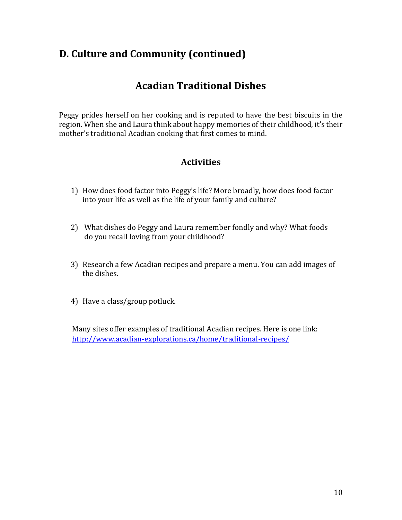# **Acadian Traditional Dishes**

Peggy prides herself on her cooking and is reputed to have the best biscuits in the region. When she and Laura think about happy memories of their childhood, it's their mother's traditional Acadian cooking that first comes to mind.

### **Activities**

- 1) How does food factor into Peggy's life? More broadly, how does food factor into your life as well as the life of your family and culture?
- 2) What dishes do Peggy and Laura remember fondly and why? What foods do you recall loving from your childhood?
- 3) Research a few Acadian recipes and prepare a menu. You can add images of the dishes.
- 4) Have a class/group potluck.

Many sites offer examples of traditional Acadian recipes. Here is one link: <http://www.acadian-explorations.ca/home/traditional-recipes/>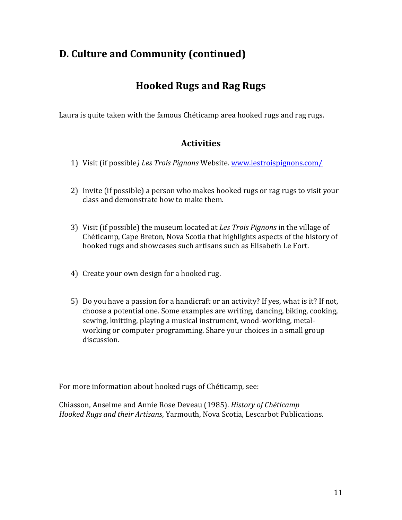# **Hooked Rugs and Rag Rugs**

Laura is quite taken with the famous Chéticamp area hooked rugs and rag rugs.

### **Activities**

- 1) Visit (if possible*) Les Trois Pignons* Website. [www.lestroispignons.com/](http://www.lestroispignons.com/)
- 2) Invite (if possible) a person who makes hooked rugs or rag rugs to visit your class and demonstrate how to make them.
- 3) Visit (if possible) the museum located at *Les Trois Pignons* in the village of Chéticamp, Cape Breton, Nova Scotia that highlights aspects of the history of hooked rugs and showcases such artisans such as Elisabeth Le Fort.
- 4) Create your own design for a hooked rug.
- 5) Do you have a passion for a handicraft or an activity? If yes, what is it? If not, choose a potential one. Some examples are writing, dancing, biking, cooking, sewing, knitting, playing a musical instrument, wood-working, metalworking or computer programming. Share your choices in a small group discussion.

For more information about hooked rugs of Chéticamp, see:

Chiasson, Anselme and Annie Rose Deveau (1985). *History of Chéticamp Hooked Rugs and their Artisans*, Yarmouth, Nova Scotia, Lescarbot Publications.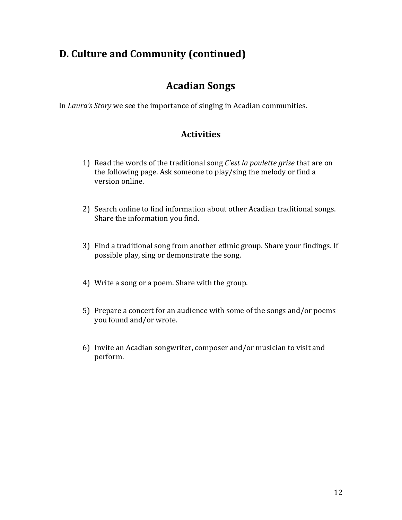### **Acadian Songs**

In *Laura's Story* we see the importance of singing in Acadian communities.

- 1) Read the words of the traditional song *C'est la poulette grise* that are on the following page. Ask someone to play/sing the melody or find a version online.
- 2) Search online to find information about other Acadian traditional songs. Share the information you find.
- 3) Find a traditional song from another ethnic group. Share your findings. If possible play, sing or demonstrate the song.
- 4) Write a song or a poem. Share with the group.
- 5) Prepare a concert for an audience with some of the songs and/or poems you found and/or wrote.
- 6) Invite an Acadian songwriter, composer and/or musician to visit and perform.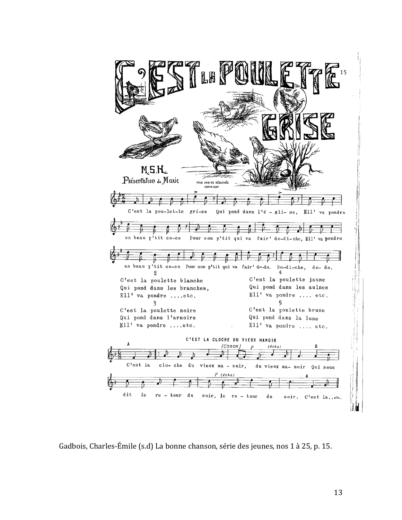

Gadbois, Charles-Émile (s.d) La bonne chanson, série des jeunes, nos 1 à 25, p. 15.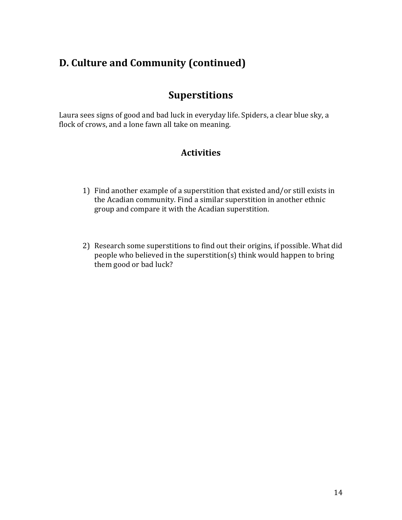### **Superstitions**

Laura sees signs of good and bad luck in everyday life. Spiders, a clear blue sky, a flock of crows, and a lone fawn all take on meaning.

- 1) Find another example of a superstition that existed and/or still exists in the Acadian community. Find a similar superstition in another ethnic group and compare it with the Acadian superstition.
- 2) Research some superstitions to find out their origins, if possible. What did people who believed in the superstition(s) think would happen to bring them good or bad luck?